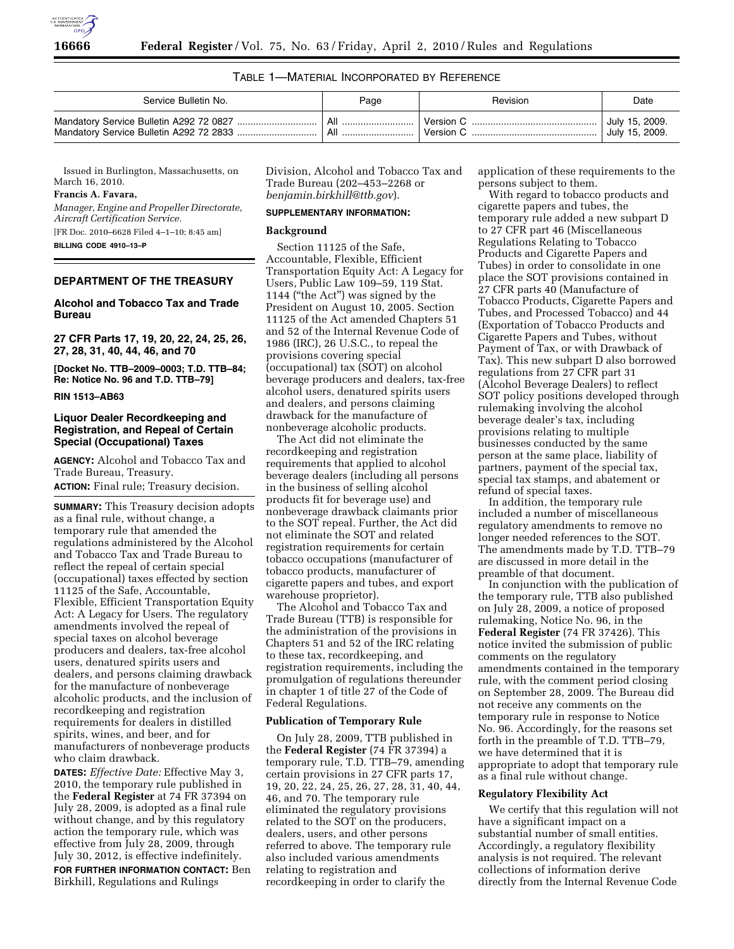

## TABLE 1—MATERIAL INCORPORATED BY REFERENCE

| Service Bulletin No. | Page | Revision  | Date           |
|----------------------|------|-----------|----------------|
|                      |      | Version ( | July 15, 2009. |
|                      |      | Version C | July 15, 2009. |

Issued in Burlington, Massachusetts, on March 16, 2010.

## **Francis A. Favara,**

*Manager, Engine and Propeller Directorate, Aircraft Certification Service.* 

[FR Doc. 2010–6628 Filed 4–1–10; 8:45 am] **BILLING CODE 4910–13–P** 

## **DEPARTMENT OF THE TREASURY**

# **Alcohol and Tobacco Tax and Trade Bureau**

**27 CFR Parts 17, 19, 20, 22, 24, 25, 26, 27, 28, 31, 40, 44, 46, and 70** 

**[Docket No. TTB–2009–0003; T.D. TTB–84; Re: Notice No. 96 and T.D. TTB–79]** 

**RIN 1513–AB63** 

## **Liquor Dealer Recordkeeping and Registration, and Repeal of Certain Special (Occupational) Taxes**

**AGENCY:** Alcohol and Tobacco Tax and Trade Bureau, Treasury. **ACTION:** Final rule; Treasury decision.

**SUMMARY:** This Treasury decision adopts as a final rule, without change, a temporary rule that amended the regulations administered by the Alcohol and Tobacco Tax and Trade Bureau to reflect the repeal of certain special (occupational) taxes effected by section 11125 of the Safe, Accountable, Flexible, Efficient Transportation Equity Act: A Legacy for Users. The regulatory amendments involved the repeal of special taxes on alcohol beverage producers and dealers, tax-free alcohol users, denatured spirits users and dealers, and persons claiming drawback for the manufacture of nonbeverage alcoholic products, and the inclusion of recordkeeping and registration requirements for dealers in distilled spirits, wines, and beer, and for manufacturers of nonbeverage products who claim drawback.

**DATES:** *Effective Date:* Effective May 3, 2010, the temporary rule published in the **Federal Register** at 74 FR 37394 on July 28, 2009, is adopted as a final rule without change, and by this regulatory action the temporary rule, which was effective from July 28, 2009, through July 30, 2012, is effective indefinitely. **FOR FURTHER INFORMATION CONTACT:** Ben Birkhill, Regulations and Rulings

Division, Alcohol and Tobacco Tax and Trade Bureau (202–453–2268 or *benjamin.birkhill@ttb.gov*).

#### **SUPPLEMENTARY INFORMATION:**

## **Background**

Section 11125 of the Safe, Accountable, Flexible, Efficient Transportation Equity Act: A Legacy for Users, Public Law 109–59, 119 Stat. 1144 (''the Act'') was signed by the President on August 10, 2005. Section 11125 of the Act amended Chapters 51 and 52 of the Internal Revenue Code of 1986 (IRC), 26 U.S.C., to repeal the provisions covering special (occupational) tax (SOT) on alcohol beverage producers and dealers, tax-free alcohol users, denatured spirits users and dealers, and persons claiming drawback for the manufacture of nonbeverage alcoholic products.

The Act did not eliminate the recordkeeping and registration requirements that applied to alcohol beverage dealers (including all persons in the business of selling alcohol products fit for beverage use) and nonbeverage drawback claimants prior to the SOT repeal. Further, the Act did not eliminate the SOT and related registration requirements for certain tobacco occupations (manufacturer of tobacco products, manufacturer of cigarette papers and tubes, and export warehouse proprietor).

The Alcohol and Tobacco Tax and Trade Bureau (TTB) is responsible for the administration of the provisions in Chapters 51 and 52 of the IRC relating to these tax, recordkeeping, and registration requirements, including the promulgation of regulations thereunder in chapter 1 of title 27 of the Code of Federal Regulations.

# **Publication of Temporary Rule**

On July 28, 2009, TTB published in the **Federal Register** (74 FR 37394) a temporary rule, T.D. TTB–79, amending certain provisions in 27 CFR parts 17, 19, 20, 22, 24, 25, 26, 27, 28, 31, 40, 44, 46, and 70. The temporary rule eliminated the regulatory provisions related to the SOT on the producers, dealers, users, and other persons referred to above. The temporary rule also included various amendments relating to registration and recordkeeping in order to clarify the

application of these requirements to the persons subject to them.

With regard to tobacco products and cigarette papers and tubes, the temporary rule added a new subpart D to 27 CFR part 46 (Miscellaneous Regulations Relating to Tobacco Products and Cigarette Papers and Tubes) in order to consolidate in one place the SOT provisions contained in 27 CFR parts 40 (Manufacture of Tobacco Products, Cigarette Papers and Tubes, and Processed Tobacco) and 44 (Exportation of Tobacco Products and Cigarette Papers and Tubes, without Payment of Tax, or with Drawback of Tax). This new subpart D also borrowed regulations from 27 CFR part 31 (Alcohol Beverage Dealers) to reflect SOT policy positions developed through rulemaking involving the alcohol beverage dealer's tax, including provisions relating to multiple businesses conducted by the same person at the same place, liability of partners, payment of the special tax, special tax stamps, and abatement or refund of special taxes.

In addition, the temporary rule included a number of miscellaneous regulatory amendments to remove no longer needed references to the SOT. The amendments made by T.D. TTB–79 are discussed in more detail in the preamble of that document.

In conjunction with the publication of the temporary rule, TTB also published on July 28, 2009, a notice of proposed rulemaking, Notice No. 96, in the **Federal Register** (74 FR 37426). This notice invited the submission of public comments on the regulatory amendments contained in the temporary rule, with the comment period closing on September 28, 2009. The Bureau did not receive any comments on the temporary rule in response to Notice No. 96. Accordingly, for the reasons set forth in the preamble of T.D. TTB–79, we have determined that it is appropriate to adopt that temporary rule as a final rule without change.

## **Regulatory Flexibility Act**

We certify that this regulation will not have a significant impact on a substantial number of small entities. Accordingly, a regulatory flexibility analysis is not required. The relevant collections of information derive directly from the Internal Revenue Code